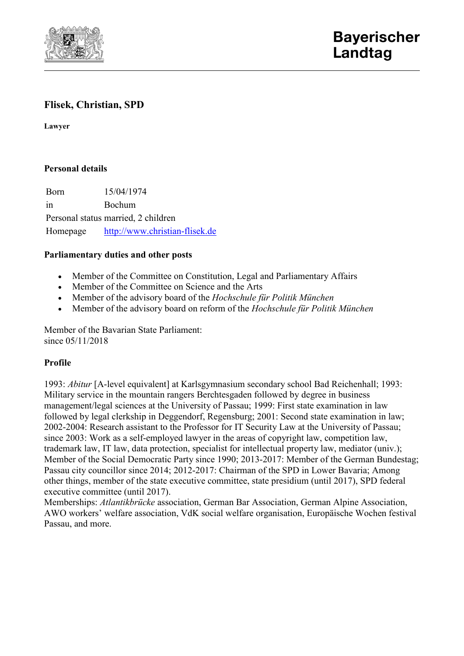

# **Flisek, Christian, SPD**

**Lawyer**

## **Personal details**

Born 15/04/1974 in Bochum Personal status married, 2 children Homepage [http://www.christian-flisek.de](http://www.christian-flisek.de/)

### **Parliamentary duties and other posts**

- Member of the Committee on Constitution, Legal and Parliamentary Affairs
- Member of the Committee on Science and the Arts
- Member of the advisory board of the *Hochschule für Politik München*
- Member of the advisory board on reform of the *Hochschule für Politik München*

Member of the Bavarian State Parliament: since  $05/11/2018$ 

#### **Profile**

1993: *Abitur* [A-level equivalent] at Karlsgymnasium secondary school Bad Reichenhall; 1993: Military service in the mountain rangers Berchtesgaden followed by degree in business management/legal sciences at the University of Passau; 1999: First state examination in law followed by legal clerkship in Deggendorf, Regensburg; 2001: Second state examination in law; 2002-2004: Research assistant to the Professor for IT Security Law at the University of Passau; since 2003: Work as a self-employed lawyer in the areas of copyright law, competition law, trademark law, IT law, data protection, specialist for intellectual property law, mediator (univ.); Member of the Social Democratic Party since 1990; 2013-2017: Member of the German Bundestag; Passau city councillor since 2014; 2012-2017: Chairman of the SPD in Lower Bavaria; Among other things, member of the state executive committee, state presidium (until 2017), SPD federal executive committee (until 2017).

Memberships: *Atlantikbrücke* association, German Bar Association, German Alpine Association, AWO workers' welfare association, VdK social welfare organisation, Europäische Wochen festival Passau, and more.